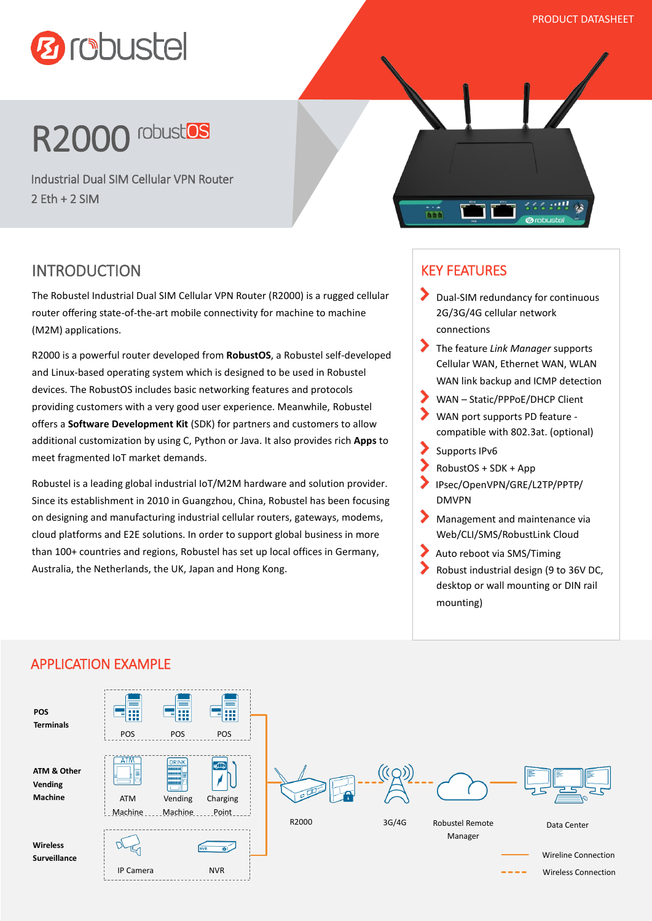



Industrial Dual SIM Cellular VPN Router 2 Eth + 2 SIM



# INTRODUCTION

The Robustel Industrial Dual SIM Cellular VPN Router (R2000) is a rugged cellular router offering state-of-the-art mobile connectivity for machine to machine (M2M) applications.

R2000 is a powerful router developed from **RobustOS**, a Robustel self-developed and Linux-based operating system which is designed to be used in Robustel devices. The RobustOS includes basic networking features and protocols providing customers with a very good user experience. Meanwhile, Robustel offers a **Software Development Kit** (SDK) for partners and customers to allow additional customization by using C, Python or Java. It also provides rich **Apps** to meet fragmented IoT market demands.

Robustel is a leading global industrial IoT/M2M hardware and solution provider. Since its establishment in 2010 in Guangzhou, China, Robustel has been focusing on designing and manufacturing industrial cellular routers, gateways, modems, cloud platforms and E2E solutions. In order to support global business in more than 100+ countries and regions, Robustel has set up local offices in Germany, Australia, the Netherlands, the UK, Japan and Hong Kong.

# KEY FEATURES

- Dual-SIM redundancy for continuous 2G/3G/4G cellular network connections
- The feature *Link Manager* supports Cellular WAN, Ethernet WAN, WLAN WAN link backup and ICMP detection
- 
- WAN Static/PPPoE/DHCP Client WAN port supports PD feature compatible with 802.3at. (optional)
- Supports IPv6
- RobustOS + SDK + App
- IPsec/OpenVPN/GRE/L2TP/PPTP/ DMVPN
- ⋗ Management and maintenance via Web/CLI/SMS/RobustLink Cloud
- Auto reboot via SMS/Timing
- Robust industrial design (9 to 36V DC, desktop or wall mounting or DIN rail mounting)



#### APPLICATION EXAMPLE